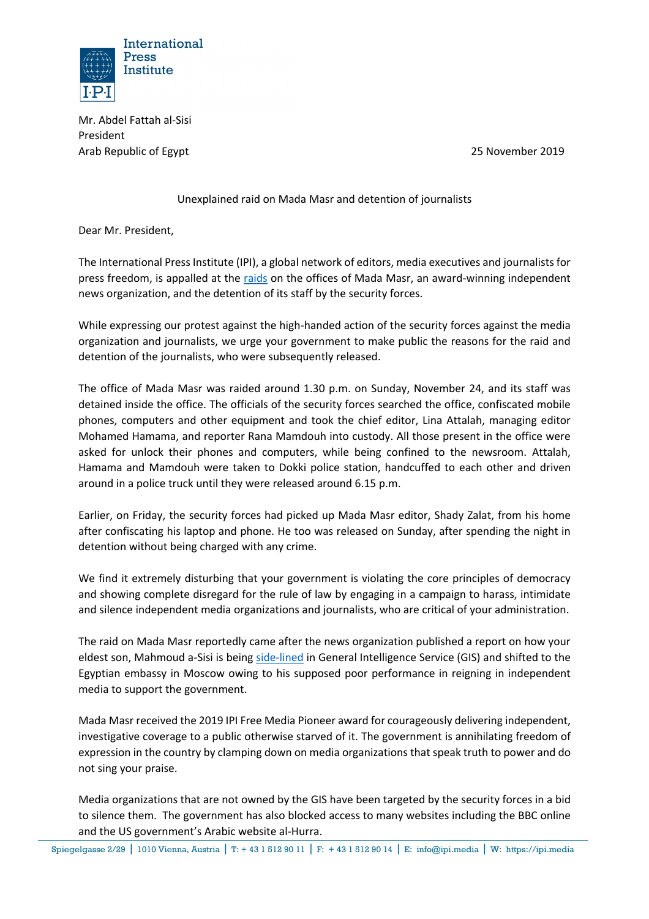

Mr. Abdel Fattah al-Sisi President Arab Republic of Egypt 25 November 2019

Unexplained raid on Mada Masr and detention of journalists

Dear Mr. President,

The International Press Institute (IPI), a global network of editors, media executives and journalists for press freedom, is appalled at the raids on the offices of Mada Masr, an award-winning independent news organization, and the detention of its staff by the security forces.

While expressing our protest against the high-handed action of the security forces against the media organization and journalists, we urge your government to make public the reasons for the raid and detention of the journalists, who were subsequently released.

The office of Mada Masr was raided around 1.30 p.m. on Sunday, November 24, and its staff was detained inside the office. The officials of the security forces searched the office, confiscated mobile phones, computers and other equipment and took the chief editor, Lina Attalah, managing editor Mohamed Hamama, and reporter Rana Mamdouh into custody. All those present in the office were asked for unlock their phones and computers, while being confined to the newsroom. Attalah, Hamama and Mamdouh were taken to Dokki police station, handcuffed to each other and driven around in a police truck until they were released around 6.15 p.m.

Earlier, on Friday, the security forces had picked up Mada Masr editor, Shady Zalat, from his home after confiscating his laptop and phone. He too was released on Sunday, after spending the night in detention without being charged with any crime.

We find it extremely disturbing that your government is violating the core principles of democracy and showing complete disregard for the rule of law by engaging in a campaign to harass, intimidate and silence independent media organizations and journalists, who are critical of your administration.

The raid on Mada Masr reportedly came after the news organization published a report on how your eldest son, Mahmoud a-Sisi is being side-lined in General Intelligence Service (GIS) and shifted to the Egyptian embassy in Moscow owing to his supposed poor performance in reigning in independent media to support the government.

Mada Masr received the 2019 IPI Free Media Pioneer award for courageously delivering independent, investigative coverage to a public otherwise starved of it. The government is annihilating freedom of expression in the country by clamping down on media organizations that speak truth to power and do not sing your praise.

Media organizations that are not owned by the GIS have been targeted by the security forces in a bid to silence them. The government has also blocked access to many websites including the BBC online and the US government's Arabic website al-Hurra.

Spiegelgasse 2/29 ǀ 1010 Vienna, Austria ǀ T: + 43 1 512 90 11 ǀ F: + 43 1 512 90 14 ǀ E: info@ipi.media ǀ W: https://ipi.media